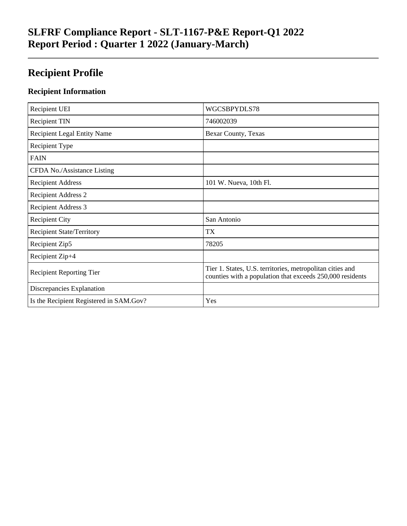## **SLFRF Compliance Report - SLT-1167-P&E Report-Q1 2022 Report Period : Quarter 1 2022 (January-March)**

## **Recipient Profile**

### **Recipient Information**

| Recipient UEI                           | WGCSBPYDLS78                                                                                                           |
|-----------------------------------------|------------------------------------------------------------------------------------------------------------------------|
| <b>Recipient TIN</b>                    | 746002039                                                                                                              |
| <b>Recipient Legal Entity Name</b>      | Bexar County, Texas                                                                                                    |
| Recipient Type                          |                                                                                                                        |
| <b>FAIN</b>                             |                                                                                                                        |
| CFDA No./Assistance Listing             |                                                                                                                        |
| <b>Recipient Address</b>                | 101 W. Nueva, 10th Fl.                                                                                                 |
| <b>Recipient Address 2</b>              |                                                                                                                        |
| Recipient Address 3                     |                                                                                                                        |
| <b>Recipient City</b>                   | San Antonio                                                                                                            |
| <b>Recipient State/Territory</b>        | TX                                                                                                                     |
| Recipient Zip5                          | 78205                                                                                                                  |
| Recipient Zip+4                         |                                                                                                                        |
| <b>Recipient Reporting Tier</b>         | Tier 1. States, U.S. territories, metropolitan cities and<br>counties with a population that exceeds 250,000 residents |
| Discrepancies Explanation               |                                                                                                                        |
| Is the Recipient Registered in SAM.Gov? | Yes                                                                                                                    |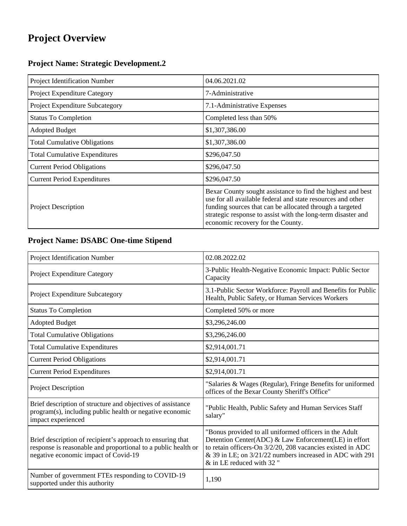# **Project Overview**

### **Project Name: Strategic Development.2**

| Project Identification Number        | 04.06.2021.02                                                                                                                                                                                                                                                                               |
|--------------------------------------|---------------------------------------------------------------------------------------------------------------------------------------------------------------------------------------------------------------------------------------------------------------------------------------------|
| Project Expenditure Category         | 7-Administrative                                                                                                                                                                                                                                                                            |
| Project Expenditure Subcategory      | 7.1-Administrative Expenses                                                                                                                                                                                                                                                                 |
| <b>Status To Completion</b>          | Completed less than 50%                                                                                                                                                                                                                                                                     |
| <b>Adopted Budget</b>                | \$1,307,386.00                                                                                                                                                                                                                                                                              |
| <b>Total Cumulative Obligations</b>  | \$1,307,386.00                                                                                                                                                                                                                                                                              |
| <b>Total Cumulative Expenditures</b> | \$296,047.50                                                                                                                                                                                                                                                                                |
| <b>Current Period Obligations</b>    | \$296,047.50                                                                                                                                                                                                                                                                                |
| <b>Current Period Expenditures</b>   | \$296,047.50                                                                                                                                                                                                                                                                                |
| <b>Project Description</b>           | Bexar County sought assistance to find the highest and best<br>use for all available federal and state resources and other<br>funding sources that can be allocated through a targeted<br>strategic response to assist with the long-term disaster and<br>economic recovery for the County. |

### **Project Name: DSABC One-time Stipend**

| Project Identification Number                                                                                                                                       | 02.08.2022.02                                                                                                                                                                                                                                                         |
|---------------------------------------------------------------------------------------------------------------------------------------------------------------------|-----------------------------------------------------------------------------------------------------------------------------------------------------------------------------------------------------------------------------------------------------------------------|
| Project Expenditure Category                                                                                                                                        | 3-Public Health-Negative Economic Impact: Public Sector<br>Capacity                                                                                                                                                                                                   |
| Project Expenditure Subcategory                                                                                                                                     | 3.1-Public Sector Workforce: Payroll and Benefits for Public<br>Health, Public Safety, or Human Services Workers                                                                                                                                                      |
| <b>Status To Completion</b>                                                                                                                                         | Completed 50% or more                                                                                                                                                                                                                                                 |
| <b>Adopted Budget</b>                                                                                                                                               | \$3,296,246.00                                                                                                                                                                                                                                                        |
| <b>Total Cumulative Obligations</b>                                                                                                                                 | \$3,296,246.00                                                                                                                                                                                                                                                        |
| <b>Total Cumulative Expenditures</b>                                                                                                                                | \$2,914,001.71                                                                                                                                                                                                                                                        |
| <b>Current Period Obligations</b>                                                                                                                                   | \$2,914,001.71                                                                                                                                                                                                                                                        |
| <b>Current Period Expenditures</b>                                                                                                                                  | \$2,914,001.71                                                                                                                                                                                                                                                        |
| <b>Project Description</b>                                                                                                                                          | "Salaries & Wages (Regular), Fringe Benefits for uniformed<br>offices of the Bexar County Sheriff's Office"                                                                                                                                                           |
| Brief description of structure and objectives of assistance<br>program(s), including public health or negative economic<br>impact experienced                       | "Public Health, Public Safety and Human Services Staff<br>salary"                                                                                                                                                                                                     |
| Brief description of recipient's approach to ensuring that<br>response is reasonable and proportional to a public health or<br>negative economic impact of Covid-19 | "Bonus provided to all uniformed officers in the Adult<br>Detention Center(ADC) & Law Enforcement(LE) in effort<br>to retain officers-On 3/2/20, 208 vacancies existed in ADC<br>& 39 in LE; on 3/21/22 numbers increased in ADC with 291<br>& in LE reduced with 32" |
| Number of government FTEs responding to COVID-19<br>supported under this authority                                                                                  | 1,190                                                                                                                                                                                                                                                                 |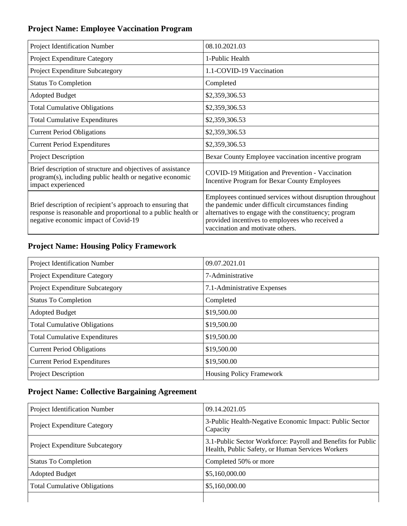### **Project Name: Employee Vaccination Program**

| Project Identification Number                                                                                                                                       | 08.10.2021.03                                                                                                                                                                                                                                                    |
|---------------------------------------------------------------------------------------------------------------------------------------------------------------------|------------------------------------------------------------------------------------------------------------------------------------------------------------------------------------------------------------------------------------------------------------------|
| Project Expenditure Category                                                                                                                                        | 1-Public Health                                                                                                                                                                                                                                                  |
| Project Expenditure Subcategory                                                                                                                                     | 1.1-COVID-19 Vaccination                                                                                                                                                                                                                                         |
| <b>Status To Completion</b>                                                                                                                                         | Completed                                                                                                                                                                                                                                                        |
| <b>Adopted Budget</b>                                                                                                                                               | \$2,359,306.53                                                                                                                                                                                                                                                   |
| <b>Total Cumulative Obligations</b>                                                                                                                                 | \$2,359,306.53                                                                                                                                                                                                                                                   |
| <b>Total Cumulative Expenditures</b>                                                                                                                                | \$2,359,306.53                                                                                                                                                                                                                                                   |
| <b>Current Period Obligations</b>                                                                                                                                   | \$2,359,306.53                                                                                                                                                                                                                                                   |
| <b>Current Period Expenditures</b>                                                                                                                                  | \$2,359,306.53                                                                                                                                                                                                                                                   |
| <b>Project Description</b>                                                                                                                                          | Bexar County Employee vaccination incentive program                                                                                                                                                                                                              |
| Brief description of structure and objectives of assistance<br>program(s), including public health or negative economic<br>impact experienced                       | COVID-19 Mitigation and Prevention - Vaccination<br><b>Incentive Program for Bexar County Employees</b>                                                                                                                                                          |
| Brief description of recipient's approach to ensuring that<br>response is reasonable and proportional to a public health or<br>negative economic impact of Covid-19 | Employees continued services without disruption throughout<br>the pandemic under difficult circumstances finding<br>alternatives to engage with the constituency; program<br>provided incentives to employees who received a<br>vaccination and motivate others. |

### **Project Name: Housing Policy Framework**

| Project Identification Number        | 09.07.2021.01                   |
|--------------------------------------|---------------------------------|
| Project Expenditure Category         | 7-Administrative                |
| Project Expenditure Subcategory      | 7.1-Administrative Expenses     |
| <b>Status To Completion</b>          | Completed                       |
| <b>Adopted Budget</b>                | \$19,500.00                     |
| <b>Total Cumulative Obligations</b>  | \$19,500.00                     |
| <b>Total Cumulative Expenditures</b> | \$19,500.00                     |
| <b>Current Period Obligations</b>    | \$19,500.00                     |
| <b>Current Period Expenditures</b>   | \$19,500.00                     |
| <b>Project Description</b>           | <b>Housing Policy Framework</b> |

### **Project Name: Collective Bargaining Agreement**

| Project Identification Number          | 09.14.2021.05                                                                                                    |
|----------------------------------------|------------------------------------------------------------------------------------------------------------------|
| <b>Project Expenditure Category</b>    | 3-Public Health-Negative Economic Impact: Public Sector<br>Capacity                                              |
| <b>Project Expenditure Subcategory</b> | 3.1-Public Sector Workforce: Payroll and Benefits for Public<br>Health, Public Safety, or Human Services Workers |
| <b>Status To Completion</b>            | Completed 50% or more                                                                                            |
| <b>Adopted Budget</b>                  | \$5,160,000.00                                                                                                   |
| <b>Total Cumulative Obligations</b>    | \$5,160,000.00                                                                                                   |
|                                        |                                                                                                                  |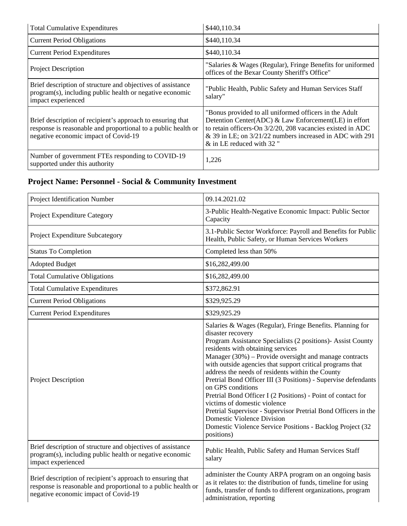| <b>Total Cumulative Expenditures</b>                                                                                                                                | \$440,110.34                                                                                                                                                                                                                                                           |
|---------------------------------------------------------------------------------------------------------------------------------------------------------------------|------------------------------------------------------------------------------------------------------------------------------------------------------------------------------------------------------------------------------------------------------------------------|
| <b>Current Period Obligations</b>                                                                                                                                   | \$440,110.34                                                                                                                                                                                                                                                           |
| <b>Current Period Expenditures</b>                                                                                                                                  | \$440,110.34                                                                                                                                                                                                                                                           |
| <b>Project Description</b>                                                                                                                                          | "Salaries & Wages (Regular), Fringe Benefits for uniformed<br>offices of the Bexar County Sheriff's Office"                                                                                                                                                            |
| Brief description of structure and objectives of assistance<br>program(s), including public health or negative economic<br>impact experienced                       | "Public Health, Public Safety and Human Services Staff<br>salary"                                                                                                                                                                                                      |
| Brief description of recipient's approach to ensuring that<br>response is reasonable and proportional to a public health or<br>negative economic impact of Covid-19 | "Bonus provided to all uniformed officers in the Adult"<br>Detention Center(ADC) & Law Enforcement(LE) in effort<br>to retain officers-On 3/2/20, 208 vacancies existed in ADC<br>& 39 in LE; on 3/21/22 numbers increased in ADC with 291<br>& in LE reduced with 32" |
| Number of government FTEs responding to COVID-19<br>supported under this authority                                                                                  | 1,226                                                                                                                                                                                                                                                                  |

### **Project Name: Personnel - Social & Community Investment**

| Project Identification Number                                                                                                                                       | 09.14.2021.02                                                                                                                                                                                                                                                                                                                                                                                                                                                                                                                                                                                                                                                                                                                          |
|---------------------------------------------------------------------------------------------------------------------------------------------------------------------|----------------------------------------------------------------------------------------------------------------------------------------------------------------------------------------------------------------------------------------------------------------------------------------------------------------------------------------------------------------------------------------------------------------------------------------------------------------------------------------------------------------------------------------------------------------------------------------------------------------------------------------------------------------------------------------------------------------------------------------|
| Project Expenditure Category                                                                                                                                        | 3-Public Health-Negative Economic Impact: Public Sector<br>Capacity                                                                                                                                                                                                                                                                                                                                                                                                                                                                                                                                                                                                                                                                    |
| Project Expenditure Subcategory                                                                                                                                     | 3.1-Public Sector Workforce: Payroll and Benefits for Public<br>Health, Public Safety, or Human Services Workers                                                                                                                                                                                                                                                                                                                                                                                                                                                                                                                                                                                                                       |
| <b>Status To Completion</b>                                                                                                                                         | Completed less than 50%                                                                                                                                                                                                                                                                                                                                                                                                                                                                                                                                                                                                                                                                                                                |
| <b>Adopted Budget</b>                                                                                                                                               | \$16,282,499.00                                                                                                                                                                                                                                                                                                                                                                                                                                                                                                                                                                                                                                                                                                                        |
| <b>Total Cumulative Obligations</b>                                                                                                                                 | \$16,282,499.00                                                                                                                                                                                                                                                                                                                                                                                                                                                                                                                                                                                                                                                                                                                        |
| <b>Total Cumulative Expenditures</b>                                                                                                                                | \$372,862.91                                                                                                                                                                                                                                                                                                                                                                                                                                                                                                                                                                                                                                                                                                                           |
| <b>Current Period Obligations</b>                                                                                                                                   | \$329,925.29                                                                                                                                                                                                                                                                                                                                                                                                                                                                                                                                                                                                                                                                                                                           |
| <b>Current Period Expenditures</b>                                                                                                                                  | \$329,925.29                                                                                                                                                                                                                                                                                                                                                                                                                                                                                                                                                                                                                                                                                                                           |
| Project Description                                                                                                                                                 | Salaries & Wages (Regular), Fringe Benefits. Planning for<br>disaster recovery<br>Program Assistance Specialists (2 positions)- Assist County<br>residents with obtaining services<br>Manager (30%) – Provide oversight and manage contracts<br>with outside agencies that support critical programs that<br>address the needs of residents within the County<br>Pretrial Bond Officer III (3 Positions) - Supervise defendants<br>on GPS conditions<br>Pretrial Bond Officer I (2 Positions) - Point of contact for<br>victims of domestic violence<br>Pretrial Supervisor - Supervisor Pretrial Bond Officers in the<br><b>Domestic Violence Division</b><br>Domestic Violence Service Positions - Backlog Project (32<br>positions) |
| Brief description of structure and objectives of assistance<br>program(s), including public health or negative economic<br>impact experienced                       | Public Health, Public Safety and Human Services Staff<br>salary                                                                                                                                                                                                                                                                                                                                                                                                                                                                                                                                                                                                                                                                        |
| Brief description of recipient's approach to ensuring that<br>response is reasonable and proportional to a public health or<br>negative economic impact of Covid-19 | administer the County ARPA program on an ongoing basis<br>as it relates to: the distribution of funds, timeline for using<br>funds, transfer of funds to different organizations, program<br>administration, reporting                                                                                                                                                                                                                                                                                                                                                                                                                                                                                                                 |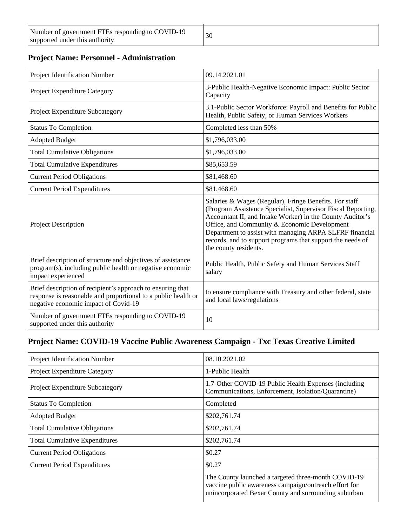#### **Project Name: Personnel - Administration**

| Project Identification Number                                                                                                                                       | 09.14.2021.01                                                                                                                                                                                                                                                                                                                                                                         |
|---------------------------------------------------------------------------------------------------------------------------------------------------------------------|---------------------------------------------------------------------------------------------------------------------------------------------------------------------------------------------------------------------------------------------------------------------------------------------------------------------------------------------------------------------------------------|
| Project Expenditure Category                                                                                                                                        | 3-Public Health-Negative Economic Impact: Public Sector<br>Capacity                                                                                                                                                                                                                                                                                                                   |
| Project Expenditure Subcategory                                                                                                                                     | 3.1-Public Sector Workforce: Payroll and Benefits for Public<br>Health, Public Safety, or Human Services Workers                                                                                                                                                                                                                                                                      |
| <b>Status To Completion</b>                                                                                                                                         | Completed less than 50%                                                                                                                                                                                                                                                                                                                                                               |
| <b>Adopted Budget</b>                                                                                                                                               | \$1,796,033.00                                                                                                                                                                                                                                                                                                                                                                        |
| <b>Total Cumulative Obligations</b>                                                                                                                                 | \$1,796,033.00                                                                                                                                                                                                                                                                                                                                                                        |
| <b>Total Cumulative Expenditures</b>                                                                                                                                | \$85,653.59                                                                                                                                                                                                                                                                                                                                                                           |
| <b>Current Period Obligations</b>                                                                                                                                   | \$81,468.60                                                                                                                                                                                                                                                                                                                                                                           |
| <b>Current Period Expenditures</b>                                                                                                                                  | \$81,468.60                                                                                                                                                                                                                                                                                                                                                                           |
| Project Description                                                                                                                                                 | Salaries & Wages (Regular), Fringe Benefits. For staff<br>(Program Assistance Specialist, Supervisor Fiscal Reporting,<br>Accountant II, and Intake Worker) in the County Auditor's<br>Office, and Community & Economic Development<br>Department to assist with managing ARPA SLFRF financial<br>records, and to support programs that support the needs of<br>the county residents. |
| Brief description of structure and objectives of assistance<br>program(s), including public health or negative economic<br>impact experienced                       | Public Health, Public Safety and Human Services Staff<br>salary                                                                                                                                                                                                                                                                                                                       |
| Brief description of recipient's approach to ensuring that<br>response is reasonable and proportional to a public health or<br>negative economic impact of Covid-19 | to ensure compliance with Treasury and other federal, state<br>and local laws/regulations                                                                                                                                                                                                                                                                                             |
| Number of government FTEs responding to COVID-19<br>supported under this authority                                                                                  | 10                                                                                                                                                                                                                                                                                                                                                                                    |

#### **Project Name: COVID-19 Vaccine Public Awareness Campaign - Txc Texas Creative Limited**

| Project Identification Number        | 08.10.2021.02                                                                                                                                                        |
|--------------------------------------|----------------------------------------------------------------------------------------------------------------------------------------------------------------------|
| Project Expenditure Category         | 1-Public Health                                                                                                                                                      |
| Project Expenditure Subcategory      | 1.7-Other COVID-19 Public Health Expenses (including<br>Communications, Enforcement, Isolation/Quarantine)                                                           |
| <b>Status To Completion</b>          | Completed                                                                                                                                                            |
| <b>Adopted Budget</b>                | \$202,761.74                                                                                                                                                         |
| <b>Total Cumulative Obligations</b>  | \$202,761.74                                                                                                                                                         |
| <b>Total Cumulative Expenditures</b> | \$202,761.74                                                                                                                                                         |
| <b>Current Period Obligations</b>    | \$0.27                                                                                                                                                               |
| <b>Current Period Expenditures</b>   | \$0.27                                                                                                                                                               |
|                                      | The County launched a targeted three-month COVID-19<br>vaccine public awareness campaign/outreach effort for<br>unincorporated Bexar County and surrounding suburban |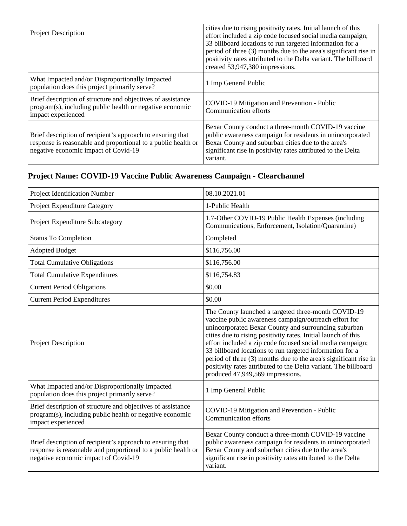| <b>Project Description</b>                                                                                                                                          | cities due to rising positivity rates. Initial launch of this<br>effort included a zip code focused social media campaign;<br>33 billboard locations to run targeted information for a<br>period of three (3) months due to the area's significant rise in<br>positivity rates attributed to the Delta variant. The billboard<br>created 53,947,380 impressions. |
|---------------------------------------------------------------------------------------------------------------------------------------------------------------------|------------------------------------------------------------------------------------------------------------------------------------------------------------------------------------------------------------------------------------------------------------------------------------------------------------------------------------------------------------------|
| What Impacted and/or Disproportionally Impacted<br>population does this project primarily serve?                                                                    | 1 Imp General Public                                                                                                                                                                                                                                                                                                                                             |
| Brief description of structure and objectives of assistance<br>program(s), including public health or negative economic<br>impact experienced                       | COVID-19 Mitigation and Prevention - Public<br><b>Communication efforts</b>                                                                                                                                                                                                                                                                                      |
| Brief description of recipient's approach to ensuring that<br>response is reasonable and proportional to a public health or<br>negative economic impact of Covid-19 | Bexar County conduct a three-month COVID-19 vaccine<br>public awareness campaign for residents in unincorporated<br>Bexar County and suburban cities due to the area's<br>significant rise in positivity rates attributed to the Delta<br>variant.                                                                                                               |

### **Project Name: COVID-19 Vaccine Public Awareness Campaign - Clearchannel**

| Project Identification Number                                                                                                                                       | 08.10.2021.01                                                                                                                                                                                                                                                                                                                                                                                                                                                                                                                             |
|---------------------------------------------------------------------------------------------------------------------------------------------------------------------|-------------------------------------------------------------------------------------------------------------------------------------------------------------------------------------------------------------------------------------------------------------------------------------------------------------------------------------------------------------------------------------------------------------------------------------------------------------------------------------------------------------------------------------------|
| Project Expenditure Category                                                                                                                                        | 1-Public Health                                                                                                                                                                                                                                                                                                                                                                                                                                                                                                                           |
| Project Expenditure Subcategory                                                                                                                                     | 1.7-Other COVID-19 Public Health Expenses (including<br>Communications, Enforcement, Isolation/Quarantine)                                                                                                                                                                                                                                                                                                                                                                                                                                |
| <b>Status To Completion</b>                                                                                                                                         | Completed                                                                                                                                                                                                                                                                                                                                                                                                                                                                                                                                 |
| <b>Adopted Budget</b>                                                                                                                                               | \$116,756.00                                                                                                                                                                                                                                                                                                                                                                                                                                                                                                                              |
| <b>Total Cumulative Obligations</b>                                                                                                                                 | \$116,756.00                                                                                                                                                                                                                                                                                                                                                                                                                                                                                                                              |
| <b>Total Cumulative Expenditures</b>                                                                                                                                | \$116,754.83                                                                                                                                                                                                                                                                                                                                                                                                                                                                                                                              |
| <b>Current Period Obligations</b>                                                                                                                                   | \$0.00                                                                                                                                                                                                                                                                                                                                                                                                                                                                                                                                    |
| <b>Current Period Expenditures</b>                                                                                                                                  | \$0.00                                                                                                                                                                                                                                                                                                                                                                                                                                                                                                                                    |
| Project Description                                                                                                                                                 | The County launched a targeted three-month COVID-19<br>vaccine public awareness campaign/outreach effort for<br>unincorporated Bexar County and surrounding suburban<br>cities due to rising positivity rates. Initial launch of this<br>effort included a zip code focused social media campaign;<br>33 billboard locations to run targeted information for a<br>period of three (3) months due to the area's significant rise in<br>positivity rates attributed to the Delta variant. The billboard<br>produced 47,949,569 impressions. |
| What Impacted and/or Disproportionally Impacted<br>population does this project primarily serve?                                                                    | 1 Imp General Public                                                                                                                                                                                                                                                                                                                                                                                                                                                                                                                      |
| Brief description of structure and objectives of assistance<br>program(s), including public health or negative economic<br>impact experienced                       | COVID-19 Mitigation and Prevention - Public<br><b>Communication efforts</b>                                                                                                                                                                                                                                                                                                                                                                                                                                                               |
| Brief description of recipient's approach to ensuring that<br>response is reasonable and proportional to a public health or<br>negative economic impact of Covid-19 | Bexar County conduct a three-month COVID-19 vaccine<br>public awareness campaign for residents in unincorporated<br>Bexar County and suburban cities due to the area's<br>significant rise in positivity rates attributed to the Delta<br>variant.                                                                                                                                                                                                                                                                                        |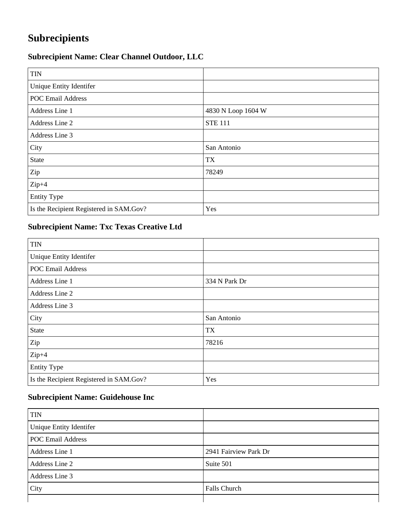## **Subrecipients**

### **Subrecipient Name: Clear Channel Outdoor, LLC**

| <b>TIN</b>                              |                    |
|-----------------------------------------|--------------------|
| Unique Entity Identifer                 |                    |
| <b>POC Email Address</b>                |                    |
| Address Line 1                          | 4830 N Loop 1604 W |
| Address Line 2                          | <b>STE 111</b>     |
| Address Line 3                          |                    |
| City                                    | San Antonio        |
| State                                   | <b>TX</b>          |
| Zip                                     | 78249              |
| $Zip+4$                                 |                    |
| <b>Entity Type</b>                      |                    |
| Is the Recipient Registered in SAM.Gov? | Yes                |

#### **Subrecipient Name: Txc Texas Creative Ltd**

| <b>TIN</b>                              |               |
|-----------------------------------------|---------------|
| Unique Entity Identifer                 |               |
| <b>POC Email Address</b>                |               |
| Address Line 1                          | 334 N Park Dr |
| Address Line 2                          |               |
| Address Line 3                          |               |
| City                                    | San Antonio   |
| <b>State</b>                            | TX            |
| Zip                                     | 78216         |
| $Zip+4$                                 |               |
| <b>Entity Type</b>                      |               |
| Is the Recipient Registered in SAM.Gov? | Yes           |

#### **Subrecipient Name: Guidehouse Inc**

| <b>TIN</b>               |                       |
|--------------------------|-----------------------|
| Unique Entity Identifer  |                       |
| <b>POC Email Address</b> |                       |
| Address Line 1           | 2941 Fairview Park Dr |
| Address Line 2           | Suite 501             |
| Address Line 3           |                       |
| City                     | Falls Church          |
|                          |                       |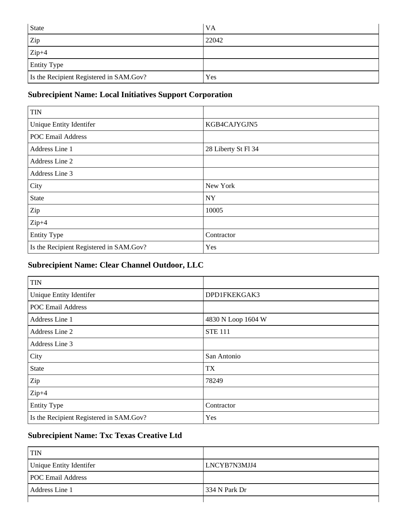| <b>State</b>                            | <b>VA</b> |
|-----------------------------------------|-----------|
| Zip                                     | 22042     |
| $Zip+4$                                 |           |
| <b>Entity Type</b>                      |           |
| Is the Recipient Registered in SAM.Gov? | Yes       |

### **Subrecipient Name: Local Initiatives Support Corporation**

| <b>TIN</b>                              |                     |
|-----------------------------------------|---------------------|
| Unique Entity Identifer                 | KGB4CAJYGJN5        |
| <b>POC Email Address</b>                |                     |
| Address Line 1                          | 28 Liberty St Fl 34 |
| Address Line 2                          |                     |
| Address Line 3                          |                     |
| City                                    | New York            |
| <b>State</b>                            | <b>NY</b>           |
| Zip                                     | 10005               |
| $Zip+4$                                 |                     |
| <b>Entity Type</b>                      | Contractor          |
| Is the Recipient Registered in SAM.Gov? | Yes                 |

### **Subrecipient Name: Clear Channel Outdoor, LLC**

| <b>TIN</b>                              |                    |
|-----------------------------------------|--------------------|
| Unique Entity Identifer                 | DPD1FKEKGAK3       |
| <b>POC Email Address</b>                |                    |
| Address Line 1                          | 4830 N Loop 1604 W |
| Address Line 2                          | <b>STE 111</b>     |
| Address Line 3                          |                    |
| City                                    | San Antonio        |
| <b>State</b>                            | <b>TX</b>          |
| Zip                                     | 78249              |
| $Zip+4$                                 |                    |
| <b>Entity Type</b>                      | Contractor         |
| Is the Recipient Registered in SAM.Gov? | Yes                |

### **Subrecipient Name: Txc Texas Creative Ltd**

| <b>TIN</b>               |               |
|--------------------------|---------------|
| Unique Entity Identifer  | LNCYB7N3MJJ4  |
| <b>POC Email Address</b> |               |
| Address Line 1           | 334 N Park Dr |
|                          |               |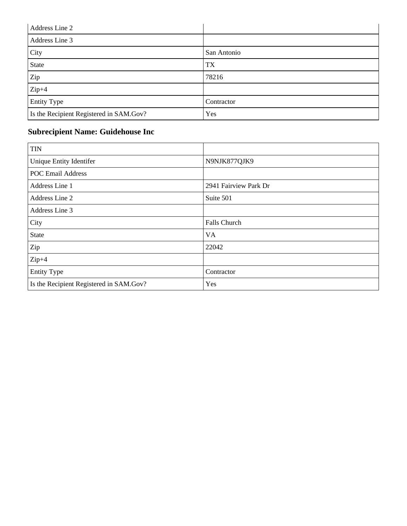| Address Line 2                          |             |
|-----------------------------------------|-------------|
| Address Line 3                          |             |
| City                                    | San Antonio |
| State                                   | TX          |
| Zip                                     | 78216       |
| $Zip+4$                                 |             |
| <b>Entity Type</b>                      | Contractor  |
| Is the Recipient Registered in SAM.Gov? | Yes         |

### **Subrecipient Name: Guidehouse Inc**

| <b>TIN</b>                              |                       |
|-----------------------------------------|-----------------------|
| Unique Entity Identifer                 | N9NJK877QJK9          |
| <b>POC Email Address</b>                |                       |
| Address Line 1                          | 2941 Fairview Park Dr |
| Address Line 2                          | Suite 501             |
| Address Line 3                          |                       |
| City                                    | Falls Church          |
| <b>State</b>                            | <b>VA</b>             |
| Zip                                     | 22042                 |
| $Zip+4$                                 |                       |
| <b>Entity Type</b>                      | Contractor            |
| Is the Recipient Registered in SAM.Gov? | Yes                   |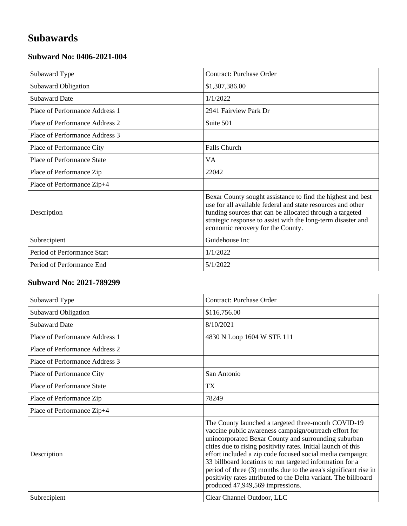## **Subawards**

#### **Subward No: 0406-2021-004**

| Subaward Type                  | <b>Contract: Purchase Order</b>                                                                                                                                                                                                                                                             |
|--------------------------------|---------------------------------------------------------------------------------------------------------------------------------------------------------------------------------------------------------------------------------------------------------------------------------------------|
| <b>Subaward Obligation</b>     | \$1,307,386.00                                                                                                                                                                                                                                                                              |
| <b>Subaward Date</b>           | 1/1/2022                                                                                                                                                                                                                                                                                    |
| Place of Performance Address 1 | 2941 Fairview Park Dr                                                                                                                                                                                                                                                                       |
| Place of Performance Address 2 | Suite 501                                                                                                                                                                                                                                                                                   |
| Place of Performance Address 3 |                                                                                                                                                                                                                                                                                             |
| Place of Performance City      | <b>Falls Church</b>                                                                                                                                                                                                                                                                         |
| Place of Performance State     | VA.                                                                                                                                                                                                                                                                                         |
| Place of Performance Zip       | 22042                                                                                                                                                                                                                                                                                       |
| Place of Performance Zip+4     |                                                                                                                                                                                                                                                                                             |
| Description                    | Bexar County sought assistance to find the highest and best<br>use for all available federal and state resources and other<br>funding sources that can be allocated through a targeted<br>strategic response to assist with the long-term disaster and<br>economic recovery for the County. |
| Subrecipient                   | Guidehouse Inc                                                                                                                                                                                                                                                                              |
| Period of Performance Start    | 1/1/2022                                                                                                                                                                                                                                                                                    |
| Period of Performance End      | 5/1/2022                                                                                                                                                                                                                                                                                    |

#### **Subward No: 2021-789299**

| Subaward Type                  | <b>Contract: Purchase Order</b>                                                                                                                                                                                                                                                                                                                                                                                                                                                                                                           |
|--------------------------------|-------------------------------------------------------------------------------------------------------------------------------------------------------------------------------------------------------------------------------------------------------------------------------------------------------------------------------------------------------------------------------------------------------------------------------------------------------------------------------------------------------------------------------------------|
| Subaward Obligation            | \$116,756.00                                                                                                                                                                                                                                                                                                                                                                                                                                                                                                                              |
| <b>Subaward Date</b>           | 8/10/2021                                                                                                                                                                                                                                                                                                                                                                                                                                                                                                                                 |
| Place of Performance Address 1 | 4830 N Loop 1604 W STE 111                                                                                                                                                                                                                                                                                                                                                                                                                                                                                                                |
| Place of Performance Address 2 |                                                                                                                                                                                                                                                                                                                                                                                                                                                                                                                                           |
| Place of Performance Address 3 |                                                                                                                                                                                                                                                                                                                                                                                                                                                                                                                                           |
| Place of Performance City      | San Antonio                                                                                                                                                                                                                                                                                                                                                                                                                                                                                                                               |
| Place of Performance State     | TX                                                                                                                                                                                                                                                                                                                                                                                                                                                                                                                                        |
| Place of Performance Zip       | 78249                                                                                                                                                                                                                                                                                                                                                                                                                                                                                                                                     |
| Place of Performance Zip+4     |                                                                                                                                                                                                                                                                                                                                                                                                                                                                                                                                           |
| Description                    | The County launched a targeted three-month COVID-19<br>vaccine public awareness campaign/outreach effort for<br>unincorporated Bexar County and surrounding suburban<br>cities due to rising positivity rates. Initial launch of this<br>effort included a zip code focused social media campaign;<br>33 billboard locations to run targeted information for a<br>period of three (3) months due to the area's significant rise in<br>positivity rates attributed to the Delta variant. The billboard<br>produced 47,949,569 impressions. |
| Subrecipient                   | Clear Channel Outdoor, LLC                                                                                                                                                                                                                                                                                                                                                                                                                                                                                                                |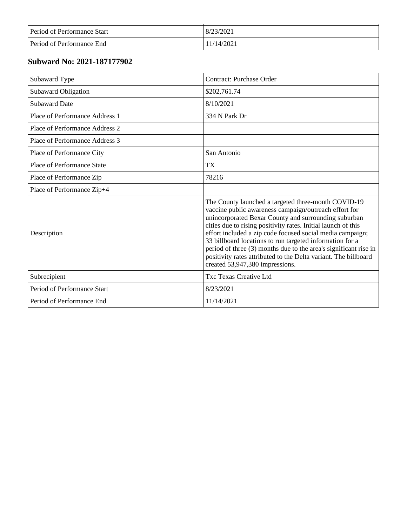| Period of Performance Start      | 8/23/2021  |
|----------------------------------|------------|
| <b>Period of Performance End</b> | 11/14/2021 |

### **Subward No: 2021-187177902**

| Subaward Type                     | <b>Contract: Purchase Order</b>                                                                                                                                                                                                                                                                                                                                                                                                                                                                                                          |
|-----------------------------------|------------------------------------------------------------------------------------------------------------------------------------------------------------------------------------------------------------------------------------------------------------------------------------------------------------------------------------------------------------------------------------------------------------------------------------------------------------------------------------------------------------------------------------------|
| Subaward Obligation               | \$202,761.74                                                                                                                                                                                                                                                                                                                                                                                                                                                                                                                             |
| <b>Subaward Date</b>              | 8/10/2021                                                                                                                                                                                                                                                                                                                                                                                                                                                                                                                                |
| Place of Performance Address 1    | 334 N Park Dr                                                                                                                                                                                                                                                                                                                                                                                                                                                                                                                            |
| Place of Performance Address 2    |                                                                                                                                                                                                                                                                                                                                                                                                                                                                                                                                          |
| Place of Performance Address 3    |                                                                                                                                                                                                                                                                                                                                                                                                                                                                                                                                          |
| Place of Performance City         | San Antonio                                                                                                                                                                                                                                                                                                                                                                                                                                                                                                                              |
| <b>Place of Performance State</b> | <b>TX</b>                                                                                                                                                                                                                                                                                                                                                                                                                                                                                                                                |
| Place of Performance Zip          | 78216                                                                                                                                                                                                                                                                                                                                                                                                                                                                                                                                    |
| Place of Performance Zip+4        |                                                                                                                                                                                                                                                                                                                                                                                                                                                                                                                                          |
| Description                       | The County launched a targeted three-month COVID-19<br>vaccine public awareness campaign/outreach effort for<br>unincorporated Bexar County and surrounding suburban<br>cities due to rising positivity rates. Initial launch of this<br>effort included a zip code focused social media campaign;<br>33 billboard locations to run targeted information for a<br>period of three (3) months due to the area's significant rise in<br>positivity rates attributed to the Delta variant. The billboard<br>created 53,947,380 impressions. |
| Subrecipient                      | <b>Txc Texas Creative Ltd</b>                                                                                                                                                                                                                                                                                                                                                                                                                                                                                                            |
| Period of Performance Start       | 8/23/2021                                                                                                                                                                                                                                                                                                                                                                                                                                                                                                                                |
| Period of Performance End         | 11/14/2021                                                                                                                                                                                                                                                                                                                                                                                                                                                                                                                               |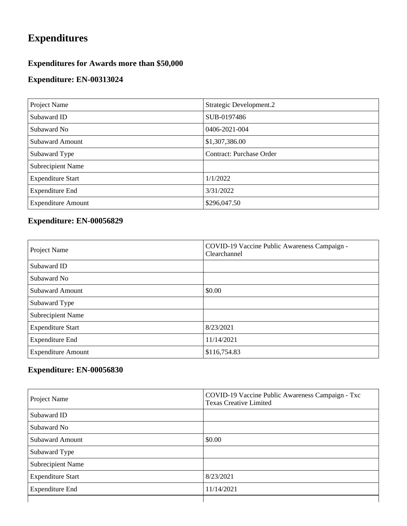## **Expenditures**

### **Expenditures for Awards more than \$50,000**

### **Expenditure: EN-00313024**

| Project Name              | Strategic Development.2         |
|---------------------------|---------------------------------|
| Subaward ID               | SUB-0197486                     |
| Subaward No               | 0406-2021-004                   |
| <b>Subaward Amount</b>    | \$1,307,386.00                  |
| Subaward Type             | <b>Contract: Purchase Order</b> |
| Subrecipient Name         |                                 |
| <b>Expenditure Start</b>  | 1/1/2022                        |
| <b>Expenditure End</b>    | 3/31/2022                       |
| <b>Expenditure Amount</b> | \$296,047.50                    |

### **Expenditure: EN-00056829**

| Project Name              | COVID-19 Vaccine Public Awareness Campaign -<br>Clearchannel |
|---------------------------|--------------------------------------------------------------|
| Subaward ID               |                                                              |
| Subaward No               |                                                              |
| <b>Subaward Amount</b>    | \$0.00                                                       |
| Subaward Type             |                                                              |
| <b>Subrecipient Name</b>  |                                                              |
| <b>Expenditure Start</b>  | 8/23/2021                                                    |
| <b>Expenditure End</b>    | 11/14/2021                                                   |
| <b>Expenditure Amount</b> | \$116,754.83                                                 |

#### **Expenditure: EN-00056830**

| Project Name             | COVID-19 Vaccine Public Awareness Campaign - Txc<br><b>Texas Creative Limited</b> |
|--------------------------|-----------------------------------------------------------------------------------|
| Subaward ID              |                                                                                   |
| Subaward No              |                                                                                   |
| <b>Subaward Amount</b>   | \$0.00                                                                            |
| Subaward Type            |                                                                                   |
| <b>Subrecipient Name</b> |                                                                                   |
| <b>Expenditure Start</b> | 8/23/2021                                                                         |
| <b>Expenditure End</b>   | 11/14/2021                                                                        |
|                          |                                                                                   |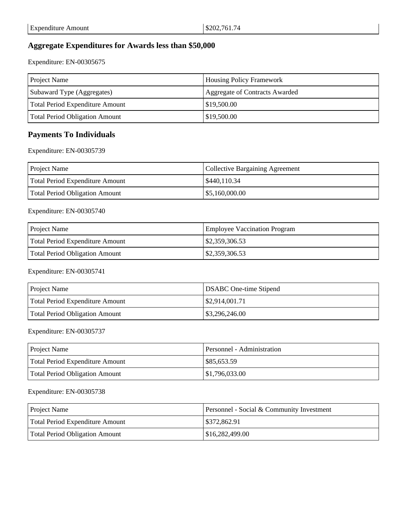#### **Aggregate Expenditures for Awards less than \$50,000**

Expenditure: EN-00305675

| <b>Project Name</b>             | <b>Housing Policy Framework</b> |
|---------------------------------|---------------------------------|
| Subaward Type (Aggregates)      | Aggregate of Contracts Awarded  |
| Total Period Expenditure Amount | \$19,500.00                     |
| Total Period Obligation Amount  | \$19,500.00                     |

#### **Payments To Individuals**

Expenditure: EN-00305739

| Project Name                    | Collective Bargaining Agreement |
|---------------------------------|---------------------------------|
| Total Period Expenditure Amount | \$440,110.34                    |
| Total Period Obligation Amount  | \$5,160,000.00                  |

Expenditure: EN-00305740

| <b>Project Name</b>                   | <b>Employee Vaccination Program</b> |
|---------------------------------------|-------------------------------------|
| Total Period Expenditure Amount       | $\mid$ \$2,359,306.53               |
| <b>Total Period Obligation Amount</b> | $\frac{$2,359,306.53}{}$            |

Expenditure: EN-00305741

| <b>Project Name</b>             | <b>DSABC</b> One-time Stipend |
|---------------------------------|-------------------------------|
| Total Period Expenditure Amount | \$2,914,001.71                |
| Total Period Obligation Amount  | \$3,296,246.00                |

Expenditure: EN-00305737

| <b>Project Name</b>             | Personnel - Administration |
|---------------------------------|----------------------------|
| Total Period Expenditure Amount | \$85,653.59                |
| Total Period Obligation Amount  | \$1,796,033.00             |

Expenditure: EN-00305738

| Project Name                          | <b>Personnel - Social &amp; Community Investment</b> |
|---------------------------------------|------------------------------------------------------|
| Total Period Expenditure Amount       | \$372,862.91                                         |
| <b>Total Period Obligation Amount</b> | \$16,282,499.00                                      |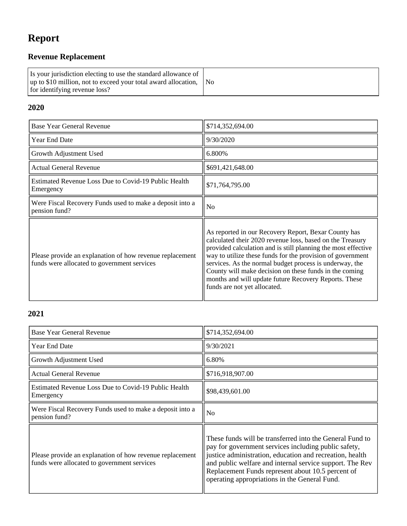## **Report**

### **Revenue Replacement**

| Is your jurisdiction electing to use the standard allowance of<br>up to \$10 million, not to exceed your total award allocation, No<br>for identifying revenue loss? |  |
|----------------------------------------------------------------------------------------------------------------------------------------------------------------------|--|
|----------------------------------------------------------------------------------------------------------------------------------------------------------------------|--|

### **2020**

| <b>Base Year General Revenue</b>                                                                        | \$714,352,694.00                                                                                                                                                                                                                                                                                                                                                                                                                                               |
|---------------------------------------------------------------------------------------------------------|----------------------------------------------------------------------------------------------------------------------------------------------------------------------------------------------------------------------------------------------------------------------------------------------------------------------------------------------------------------------------------------------------------------------------------------------------------------|
| <b>Year End Date</b>                                                                                    | 9/30/2020                                                                                                                                                                                                                                                                                                                                                                                                                                                      |
| Growth Adjustment Used                                                                                  | 6.800%                                                                                                                                                                                                                                                                                                                                                                                                                                                         |
| <b>Actual General Revenue</b>                                                                           | \$691,421,648.00                                                                                                                                                                                                                                                                                                                                                                                                                                               |
| Estimated Revenue Loss Due to Covid-19 Public Health<br>Emergency                                       | \$71,764,795.00                                                                                                                                                                                                                                                                                                                                                                                                                                                |
| Were Fiscal Recovery Funds used to make a deposit into a<br>pension fund?                               | No                                                                                                                                                                                                                                                                                                                                                                                                                                                             |
| Please provide an explanation of how revenue replacement<br>funds were allocated to government services | As reported in our Recovery Report, Bexar County has<br>calculated their 2020 revenue loss, based on the Treasury<br>provided calculation and is still planning the most effective<br>way to utilize these funds for the provision of government<br>services. As the normal budget process is underway, the<br>County will make decision on these funds in the coming<br>months and will update future Recovery Reports. These<br>funds are not yet allocated. |

### **2021**

| <b>Base Year General Revenue</b>                                                                        | \$714,352,694.00                                                                                                                                                                                                                                                                                                                               |
|---------------------------------------------------------------------------------------------------------|------------------------------------------------------------------------------------------------------------------------------------------------------------------------------------------------------------------------------------------------------------------------------------------------------------------------------------------------|
| Year End Date                                                                                           | 9/30/2021                                                                                                                                                                                                                                                                                                                                      |
| Growth Adjustment Used                                                                                  | 6.80%                                                                                                                                                                                                                                                                                                                                          |
| <b>Actual General Revenue</b>                                                                           | \$716,918,907.00                                                                                                                                                                                                                                                                                                                               |
| Estimated Revenue Loss Due to Covid-19 Public Health<br>Emergency                                       | \$98,439,601.00                                                                                                                                                                                                                                                                                                                                |
| Were Fiscal Recovery Funds used to make a deposit into a<br>pension fund?                               | No                                                                                                                                                                                                                                                                                                                                             |
| Please provide an explanation of how revenue replacement<br>funds were allocated to government services | These funds will be transferred into the General Fund to<br>pay for government services including public safety,<br>justice administration, education and recreation, health<br>and public welfare and internal service support. The Rev<br>Replacement Funds represent about 10.5 percent of<br>operating appropriations in the General Fund. |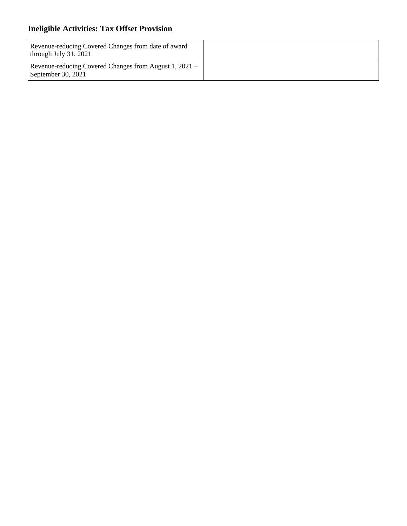### **Ineligible Activities: Tax Offset Provision**

| Revenue-reducing Covered Changes from date of award<br>through July $31, 2021$ |  |
|--------------------------------------------------------------------------------|--|
| Revenue-reducing Covered Changes from August 1, 2021 –<br>September 30, 2021   |  |